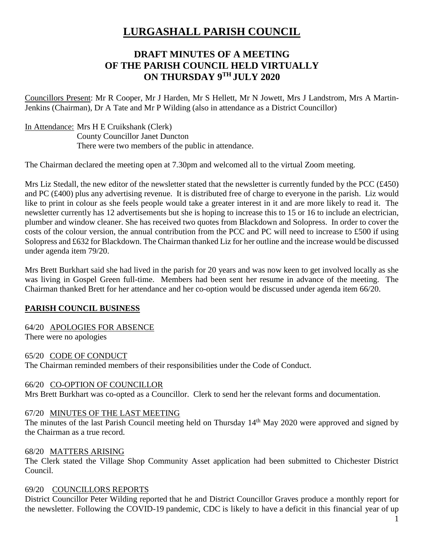# **LURGASHALL PARISH COUNCIL**

# **DRAFT MINUTES OF A MEETING OF THE PARISH COUNCIL HELD VIRTUALLY ON THURSDAY 9 TH JULY 2020**

Councillors Present: Mr R Cooper, Mr J Harden, Mr S Hellett, Mr N Jowett, Mrs J Landstrom, Mrs A Martin-Jenkins (Chairman), Dr A Tate and Mr P Wilding (also in attendance as a District Councillor)

In Attendance: Mrs H E Cruikshank (Clerk) County Councillor Janet Duncton There were two members of the public in attendance.

The Chairman declared the meeting open at 7.30pm and welcomed all to the virtual Zoom meeting.

Mrs Liz Stedall, the new editor of the newsletter stated that the newsletter is currently funded by the PCC (£450) and PC (£400) plus any advertising revenue. It is distributed free of charge to everyone in the parish. Liz would like to print in colour as she feels people would take a greater interest in it and are more likely to read it. The newsletter currently has 12 advertisements but she is hoping to increase this to 15 or 16 to include an electrician, plumber and window cleaner. She has received two quotes from Blackdown and Solopress. In order to cover the costs of the colour version, the annual contribution from the PCC and PC will need to increase to £500 if using Solopress and £632 for Blackdown. The Chairman thanked Liz for her outline and the increase would be discussed under agenda item 79/20.

Mrs Brett Burkhart said she had lived in the parish for 20 years and was now keen to get involved locally as she was living in Gospel Green full-time. Members had been sent her resume in advance of the meeting. The Chairman thanked Brett for her attendance and her co-option would be discussed under agenda item 66/20.

#### **PARISH COUNCIL BUSINESS**

64/20 APOLOGIES FOR ABSENCE There were no apologies

#### 65/20 CODE OF CONDUCT

The Chairman reminded members of their responsibilities under the Code of Conduct.

#### 66/20 CO-OPTION OF COUNCILLOR

Mrs Brett Burkhart was co-opted as a Councillor. Clerk to send her the relevant forms and documentation.

#### 67/20 MINUTES OF THE LAST MEETING

The minutes of the last Parish Council meeting held on Thursday 14<sup>th</sup> May 2020 were approved and signed by the Chairman as a true record.

#### 68/20 MATTERS ARISING

The Clerk stated the Village Shop Community Asset application had been submitted to Chichester District Council.

#### 69/20 COUNCILLORS REPORTS

District Councillor Peter Wilding reported that he and District Councillor Graves produce a monthly report for the newsletter. Following the COVID-19 pandemic, CDC is likely to have a deficit in this financial year of up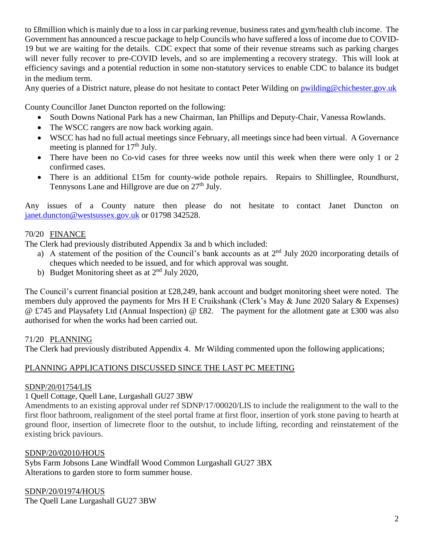to £8million which is mainly due to a loss in car parking revenue, business rates and gym/health club income. The Government has announced a rescue package to help Councils who have suffered a loss of income due to COVID-19 but we are waiting for the details. CDC expect that some of their revenue streams such as parking charges will never fully recover to pre-COVID levels, and so are implementing a recovery strategy. This will look at efficiency savings and a potential reduction in some non-statutory services to enable CDC to balance its budget in the medium term.

Any queries of a District nature, please do not hesitate to contact Peter Wilding on [pwilding@chichester.gov.uk](mailto:pwilding@chichester.gov.uk)

County Councillor Janet Duncton reported on the following:

- South Downs National Park has a new Chairman, Ian Phillips and Deputy-Chair, Vanessa Rowlands.
- The WSCC rangers are now back working again.
- WSCC has had no full actual meetings since February, all meetings since had been virtual. A Governance meeting is planned for 17<sup>th</sup> July.
- There have been no Co-vid cases for three weeks now until this week when there were only 1 or 2 confirmed cases.
- There is an additional £15m for county-wide pothole repairs. Repairs to Shillinglee, Roundhurst, Tennysons Lane and Hillgrove are due on 27<sup>th</sup> July.

Any issues of a County nature then please do not hesitate to contact Janet Duncton on [janet.duncton@westsussex.gov.uk](mailto:janet.duncton@westsussex.gov.uk) or 01798 342528.

### 70/20 FINANCE

The Clerk had previously distributed Appendix 3a and b which included:

- a) A statement of the position of the Council's bank accounts as at  $2<sup>nd</sup>$  July 2020 incorporating details of cheques which needed to be issued, and for which approval was sought.
- b) Budget Monitoring sheet as at  $2<sup>nd</sup>$  July 2020,

The Council's current financial position at £28,249, bank account and budget monitoring sheet were noted. The members duly approved the payments for Mrs H E Cruikshank (Clerk's May & June 2020 Salary & Expenses) @ £745 and Playsafety Ltd (Annual Inspection) @ £82. The payment for the allotment gate at £300 was also authorised for when the works had been carried out.

# 71/20 PLANNING

The Clerk had previously distributed Appendix 4. Mr Wilding commented upon the following applications;

# PLANNING APPLICATIONS DISCUSSED SINCE THE LAST PC MEETING

#### SDNP/20/01754/LIS

#### 1 Quell Cottage, Quell Lane, Lurgashall GU27 3BW

Amendments to an existing approval under ref SDNP/17/00020/LIS to include the realignment to the wall to the first floor bathroom, realignment of the steel portal frame at first floor, insertion of york stone paving to hearth at ground floor, insertion of limecrete floor to the outshut, to include lifting, recording and reinstatement of the existing brick paviours.

#### SDNP/20/02010/HOUS

Sybs Farm Jobsons Lane Windfall Wood Common Lurgashall GU27 3BX Alterations to garden store to form summer house.

SDNP/20/01974/HOUS The Quell Lane Lurgashall GU27 3BW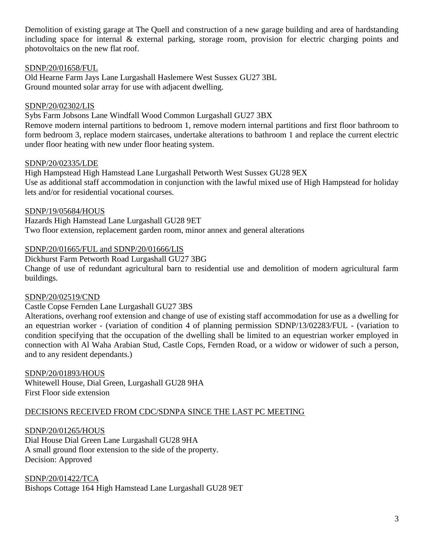Demolition of existing garage at The Quell and construction of a new garage building and area of hardstanding including space for internal & external parking, storage room, provision for electric charging points and photovoltaics on the new flat roof.

#### SDNP/20/01658/FUL

Old Hearne Farm Jays Lane Lurgashall Haslemere West Sussex GU27 3BL Ground mounted solar array for use with adjacent dwelling.

#### SDNP/20/02302/LIS

Sybs Farm Jobsons Lane Windfall Wood Common Lurgashall GU27 3BX

Remove modern internal partitions to bedroom 1, remove modern internal partitions and first floor bathroom to form bedroom 3, replace modern staircases, undertake alterations to bathroom 1 and replace the current electric under floor heating with new under floor heating system.

#### SDNP/20/02335/LDE

High Hampstead High Hamstead Lane Lurgashall Petworth West Sussex GU28 9EX Use as additional staff accommodation in conjunction with the lawful mixed use of High Hampstead for holiday lets and/or for residential vocational courses.

#### SDNP/19/05684/HOUS

Hazards High Hamstead Lane Lurgashall GU28 9ET Two floor extension, replacement garden room, minor annex and general alterations

#### SDNP/20/01665/FUL and SDNP/20/01666/LIS

Dickhurst Farm Petworth Road Lurgashall GU27 3BG Change of use of redundant agricultural barn to residential use and demolition of modern agricultural farm buildings.

#### SDNP/20/02519/CND

#### Castle Copse Fernden Lane Lurgashall GU27 3BS

Alterations, overhang roof extension and change of use of existing staff accommodation for use as a dwelling for an equestrian worker - (variation of condition 4 of planning permission SDNP/13/02283/FUL - (variation to condition specifying that the occupation of the dwelling shall be limited to an equestrian worker employed in connection with Al Waha Arabian Stud, Castle Cops, Fernden Road, or a widow or widower of such a person, and to any resident dependants.)

#### SDNP/20/01893/HOUS

Whitewell House, Dial Green, Lurgashall GU28 9HA First Floor side extension

# DECISIONS RECEIVED FROM CDC/SDNPA SINCE THE LAST PC MEETING

SDNP/20/01265/HOUS Dial House Dial Green Lane Lurgashall GU28 9HA A small ground floor extension to the side of the property. Decision: Approved

SDNP/20/01422/TCA Bishops Cottage 164 High Hamstead Lane Lurgashall GU28 9ET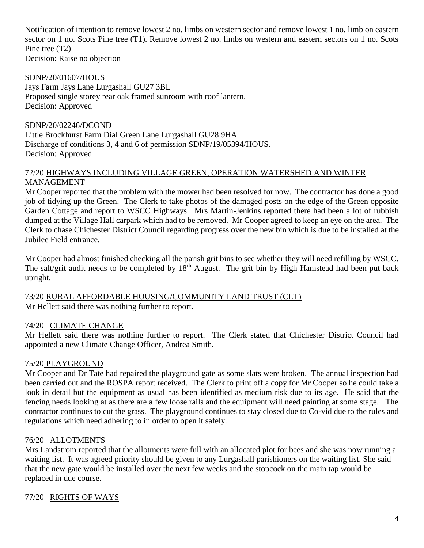Notification of intention to remove lowest 2 no. limbs on western sector and remove lowest 1 no. limb on eastern sector on 1 no. Scots Pine tree (T1). Remove lowest 2 no. limbs on western and eastern sectors on 1 no. Scots Pine tree (T2) Decision: Raise no objection

SDNP/20/01607/HOUS

Jays Farm Jays Lane Lurgashall GU27 3BL Proposed single storey rear oak framed sunroom with roof lantern. Decision: Approved

SDNP/20/02246/DCOND Little Brockhurst Farm Dial Green Lane Lurgashall GU28 9HA Discharge of conditions 3, 4 and 6 of permission SDNP/19/05394/HOUS. Decision: Approved

#### 72/20 HIGHWAYS INCLUDING VILLAGE GREEN, OPERATION WATERSHED AND WINTER MANAGEMENT

Mr Cooper reported that the problem with the mower had been resolved for now. The contractor has done a good job of tidying up the Green. The Clerk to take photos of the damaged posts on the edge of the Green opposite Garden Cottage and report to WSCC Highways. Mrs Martin-Jenkins reported there had been a lot of rubbish dumped at the Village Hall carpark which had to be removed. Mr Cooper agreed to keep an eye on the area. The Clerk to chase Chichester District Council regarding progress over the new bin which is due to be installed at the Jubilee Field entrance.

Mr Cooper had almost finished checking all the parish grit bins to see whether they will need refilling by WSCC. The salt/grit audit needs to be completed by  $18<sup>th</sup>$  August. The grit bin by High Hamstead had been put back upright.

#### 73/20 RURAL AFFORDABLE HOUSING/COMMUNITY LAND TRUST (CLT)

Mr Hellett said there was nothing further to report.

#### 74/20 CLIMATE CHANGE

Mr Hellett said there was nothing further to report. The Clerk stated that Chichester District Council had appointed a new Climate Change Officer, Andrea Smith.

#### 75/20 PLAYGROUND

Mr Cooper and Dr Tate had repaired the playground gate as some slats were broken. The annual inspection had been carried out and the ROSPA report received. The Clerk to print off a copy for Mr Cooper so he could take a look in detail but the equipment as usual has been identified as medium risk due to its age. He said that the fencing needs looking at as there are a few loose rails and the equipment will need painting at some stage. The contractor continues to cut the grass. The playground continues to stay closed due to Co-vid due to the rules and regulations which need adhering to in order to open it safely.

#### 76/20 ALLOTMENTS

Mrs Landstrom reported that the allotments were full with an allocated plot for bees and she was now running a waiting list. It was agreed priority should be given to any Lurgashall parishioners on the waiting list. She said that the new gate would be installed over the next few weeks and the stopcock on the main tap would be replaced in due course.

#### 77/20 RIGHTS OF WAYS